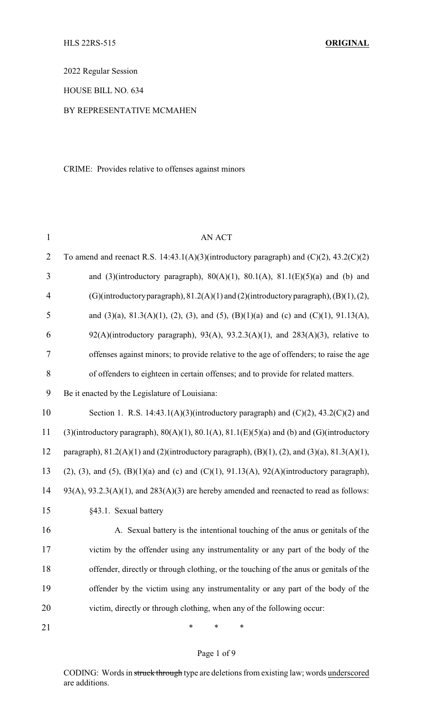2022 Regular Session

HOUSE BILL NO. 634

### BY REPRESENTATIVE MCMAHEN

CRIME: Provides relative to offenses against minors

| $\mathbf{1}$   | AN ACT                                                                                                          |
|----------------|-----------------------------------------------------------------------------------------------------------------|
| $\overline{2}$ | To amend and reenact R.S. 14:43.1(A)(3)(introductory paragraph) and $(C)(2)$ , 43.2(C)(2)                       |
| 3              | and (3)(introductory paragraph), $80(A)(1)$ , $80.1(A)$ , $81.1(E)(5)(a)$ and (b) and                           |
| $\overline{4}$ | (G)(introductory paragraph), $81.2(A)(1)$ and (2)(introductory paragraph), (B)(1), (2),                         |
| 5              | and (3)(a), 81.3(A)(1), (2), (3), and (5), (B)(1)(a) and (c) and (C)(1), 91.13(A),                              |
| 6              | $92(A)$ (introductory paragraph), $93(A)$ , $93.2.3(A)(1)$ , and $283(A)(3)$ , relative to                      |
| 7              | offenses against minors; to provide relative to the age of offenders; to raise the age                          |
| 8              | of offenders to eighteen in certain offenses; and to provide for related matters.                               |
| 9              | Be it enacted by the Legislature of Louisiana:                                                                  |
| 10             | Section 1. R.S. 14:43.1(A)(3)(introductory paragraph) and $(C)(2)$ , 43.2(C)(2) and                             |
| 11             | $(3)$ (introductory paragraph), $80(A)(1)$ , $80.1(A)$ , $81.1(E)(5)(a)$ and (b) and (G)(introductory           |
| 12             | paragraph), $81.2(A)(1)$ and $(2)$ (introductory paragraph), $(B)(1)$ , $(2)$ , and $(3)(a)$ , $81.3(A)(1)$ ,   |
| 13             | $(2)$ , $(3)$ , and $(5)$ , $(B)(1)(a)$ and $(c)$ and $(C)(1)$ , $91.13(A)$ , $92(A)(introductory paragraph)$ , |
| 14             | $93(A), 93.2.3(A)(1),$ and $283(A)(3)$ are hereby amended and reenacted to read as follows:                     |
| 15             | §43.1. Sexual battery                                                                                           |
| 16             | A. Sexual battery is the intentional touching of the anus or genitals of the                                    |
| 17             | victim by the offender using any instrumentality or any part of the body of the                                 |
| 18             | offender, directly or through clothing, or the touching of the anus or genitals of the                          |
| 19             | offender by the victim using any instrumentality or any part of the body of the                                 |
| 20             | victim, directly or through clothing, when any of the following occur:                                          |
| 21             | ∗<br>∗<br>∗                                                                                                     |

# Page 1 of 9

CODING: Words in struck through type are deletions from existing law; words underscored are additions.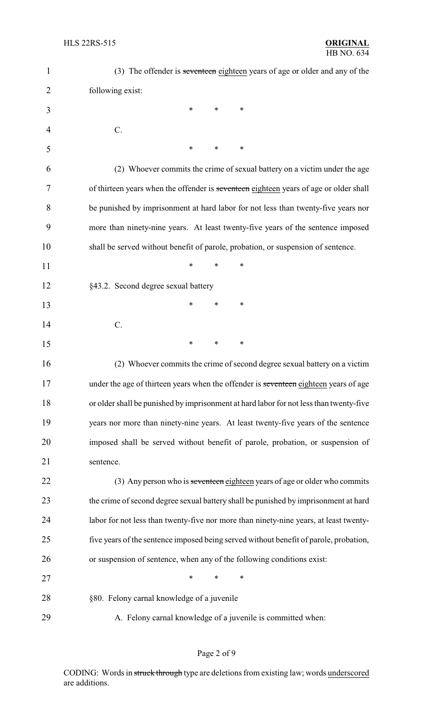| 1  | (3) The offender is seventeen eighteen years of age or older and any of the            |
|----|----------------------------------------------------------------------------------------|
| 2  | following exist:                                                                       |
| 3  | ∗<br>*<br>∗                                                                            |
| 4  | $C$ .                                                                                  |
| 5  | ∗<br>*<br>∗                                                                            |
| 6  | (2) Whoever commits the crime of sexual battery on a victim under the age              |
| 7  | of thirteen years when the offender is seventeen eighteen years of age or older shall  |
| 8  | be punished by imprisonment at hard labor for not less than twenty-five years nor      |
| 9  | more than ninety-nine years. At least twenty-five years of the sentence imposed        |
| 10 | shall be served without benefit of parole, probation, or suspension of sentence.       |
| 11 | *<br>$\ast$<br>∗                                                                       |
| 12 | §43.2. Second degree sexual battery                                                    |
| 13 | ∗<br>∗<br>*                                                                            |
| 14 | $C$ .                                                                                  |
| 15 | ∗<br>*<br>∗                                                                            |
| 16 | (2) Whoever commits the crime of second degree sexual battery on a victim              |
| 17 | under the age of thirteen years when the offender is seventeen eighteen years of age   |
| 18 | or older shall be punished by imprisonment at hard labor for not less than twenty-five |
| 19 | years nor more than ninety-nine years. At least twenty-five years of the sentence      |
| 20 | imposed shall be served without benefit of parole, probation, or suspension of         |
| 21 | sentence.                                                                              |
| 22 | (3) Any person who is seventeen eighteen years of age or older who commits             |
| 23 | the crime of second degree sexual battery shall be punished by imprisonment at hard    |
| 24 | labor for not less than twenty-five nor more than ninety-nine years, at least twenty-  |
| 25 | five years of the sentence imposed being served without benefit of parole, probation,  |
| 26 | or suspension of sentence, when any of the following conditions exist:                 |
| 27 | $\ast$<br>*<br>*                                                                       |
| 28 | §80. Felony carnal knowledge of a juvenile                                             |
| 29 | A. Felony carnal knowledge of a juvenile is committed when:                            |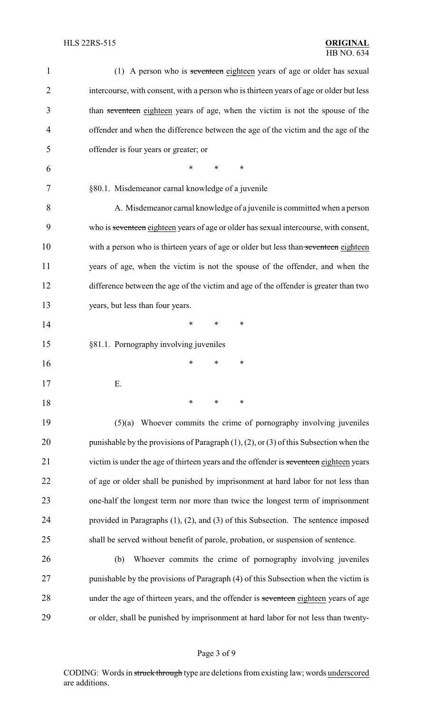| 1              | (1) A person who is seventeen eighteen years of age or older has sexual                        |
|----------------|------------------------------------------------------------------------------------------------|
| $\overline{2}$ | intercourse, with consent, with a person who is thirteen years of age or older but less        |
| 3              | than seventeen eighteen years of age, when the victim is not the spouse of the                 |
| 4              | offender and when the difference between the age of the victim and the age of the              |
| 5              | offender is four years or greater; or                                                          |
| 6              | *<br>*<br>∗                                                                                    |
| 7              | §80.1. Misdemeanor carnal knowledge of a juvenile                                              |
| 8              | A. Misdemeanor carnal knowledge of a juvenile is committed when a person                       |
| 9              | who is seventeen eighteen years of age or older has sexual intercourse, with consent,          |
| 10             | with a person who is thirteen years of age or older but less than seventeen eighteen           |
| 11             | years of age, when the victim is not the spouse of the offender, and when the                  |
| 12             | difference between the age of the victim and age of the offender is greater than two           |
| 13             | years, but less than four years.                                                               |
| 14             | ∗<br>∗<br>∗                                                                                    |
| 15             | §81.1. Pornography involving juveniles                                                         |
| 16             | *<br>*<br>∗                                                                                    |
| 17             | Ε.                                                                                             |
| 18             | $\ast$<br>∗<br>∗                                                                               |
| 19             | $(5)(a)$ Whoever commits the crime of pornography involving juveniles                          |
| 20             | punishable by the provisions of Paragraph $(1)$ , $(2)$ , or $(3)$ of this Subsection when the |
| 21             | victim is under the age of thirteen years and the offender is seventeen eighteen years         |
| 22             | of age or older shall be punished by imprisonment at hard labor for not less than              |
| 23             | one-half the longest term nor more than twice the longest term of imprisonment                 |
| 24             | provided in Paragraphs $(1)$ , $(2)$ , and $(3)$ of this Subsection. The sentence imposed      |
| 25             | shall be served without benefit of parole, probation, or suspension of sentence.               |
| 26             | Whoever commits the crime of pornography involving juveniles<br>(b)                            |
| 27             | punishable by the provisions of Paragraph (4) of this Subsection when the victim is            |
| 28             | under the age of thirteen years, and the offender is seventeen eighteen years of age           |
| 29             | or older, shall be punished by imprisonment at hard labor for not less than twenty-            |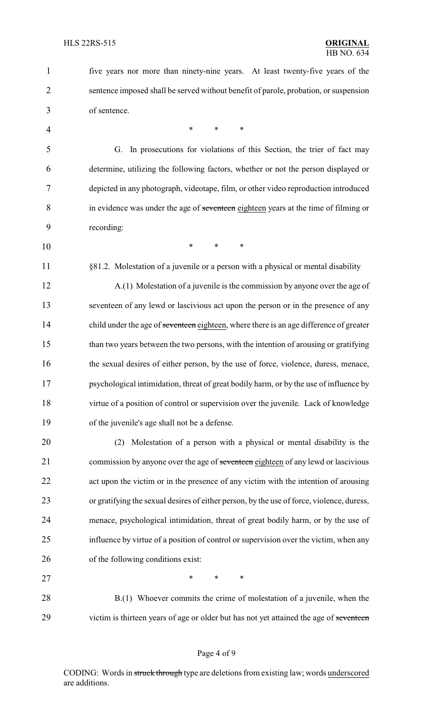five years nor more than ninety-nine years. At least twenty-five years of the sentence imposed shall be served without benefit of parole, probation, or suspension of sentence. 4 \* \* \* \* G. In prosecutions for violations of this Section, the trier of fact may determine, utilizing the following factors, whether or not the person displayed or depicted in any photograph, videotape, film, or other video reproduction introduced in evidence was under the age of seventeen eighteen years at the time of filming or recording: \* \* \* 11 §81.2. Molestation of a juvenile or a person with a physical or mental disability A.(1) Molestation of a juvenile is the commission by anyone over the age of seventeen of any lewd or lascivious act upon the person or in the presence of any 14 child under the age of seventeen eighteen, where there is an age difference of greater than two years between the two persons, with the intention of arousing or gratifying 16 the sexual desires of either person, by the use of force, violence, duress, menace, psychological intimidation, threat of great bodily harm, or by the use of influence by virtue of a position of control or supervision over the juvenile. Lack of knowledge of the juvenile's age shall not be a defense. (2) Molestation of a person with a physical or mental disability is the 21 commission by anyone over the age of seventeen eighteen of any lewd or lascivious act upon the victim or in the presence of any victim with the intention of arousing or gratifying the sexual desires of either person, by the use of force, violence, duress, menace, psychological intimidation, threat of great bodily harm, or by the use of influence by virtue of a position of control or supervision over the victim, when any of the following conditions exist: 27 \* \* \* \* 28 B.(1) Whoever commits the crime of molestation of a juvenile, when the 29 victim is thirteen years of age or older but has not yet attained the age of seventeen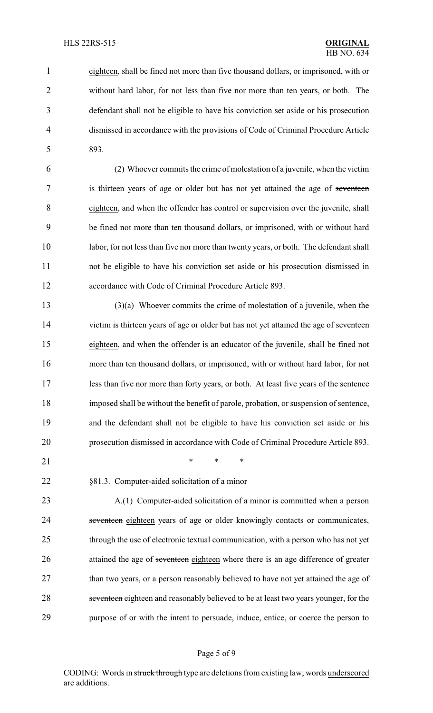eighteen, shall be fined not more than five thousand dollars, or imprisoned, with or without hard labor, for not less than five nor more than ten years, or both. The defendant shall not be eligible to have his conviction set aside or his prosecution dismissed in accordance with the provisions of Code of Criminal Procedure Article 893.

 (2) Whoever commits the crime of molestation of a juvenile, when the victim 7 is thirteen years of age or older but has not yet attained the age of seventeen eighteen, and when the offender has control or supervision over the juvenile, shall be fined not more than ten thousand dollars, or imprisoned, with or without hard labor, for not less than five nor more than twenty years, or both. The defendant shall not be eligible to have his conviction set aside or his prosecution dismissed in accordance with Code of Criminal Procedure Article 893.

 (3)(a) Whoever commits the crime of molestation of a juvenile, when the 14 victim is thirteen years of age or older but has not yet attained the age of seventeen eighteen, and when the offender is an educator of the juvenile, shall be fined not more than ten thousand dollars, or imprisoned, with or without hard labor, for not less than five nor more than forty years, or both. At least five years of the sentence imposed shall be without the benefit of parole, probation, or suspension of sentence, and the defendant shall not be eligible to have his conviction set aside or his prosecution dismissed in accordance with Code of Criminal Procedure Article 893.

21 \* \* \* \*

§81.3. Computer-aided solicitation of a minor

 A.(1) Computer-aided solicitation of a minor is committed when a person 24 seventeen eighteen years of age or older knowingly contacts or communicates, through the use of electronic textual communication, with a person who has not yet 26 attained the age of seventeen eighteen where there is an age difference of greater 27 than two years, or a person reasonably believed to have not yet attained the age of 28 seventeen eighteen and reasonably believed to be at least two years younger, for the purpose of or with the intent to persuade, induce, entice, or coerce the person to

#### Page 5 of 9

CODING: Words in struck through type are deletions from existing law; words underscored are additions.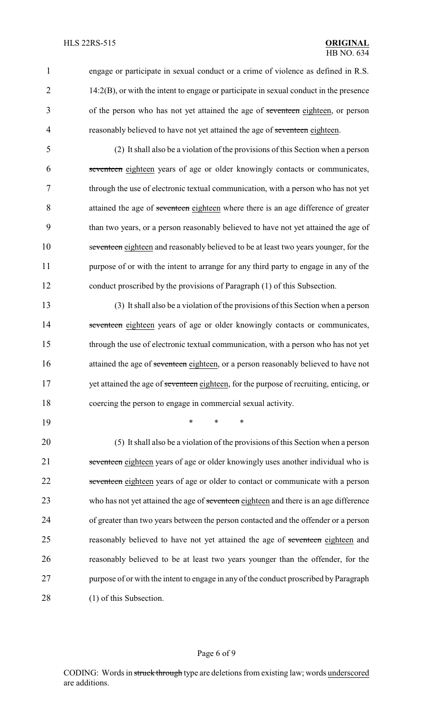1 engage or participate in sexual conduct or a crime of violence as defined in R.S. 2 14:2(B), or with the intent to engage or participate in sexual conduct in the presence 3 of the person who has not yet attained the age of seventeen eighteen, or person 4 reasonably believed to have not yet attained the age of seventeen eighteen.

 (2) It shall also be a violation of the provisions of this Section when a person seventeen eighteen years of age or older knowingly contacts or communicates, through the use of electronic textual communication, with a person who has not yet 8 attained the age of seventeen eighteen where there is an age difference of greater than two years, or a person reasonably believed to have not yet attained the age of seventeen eighteen and reasonably believed to be at least two years younger, for the 11 purpose of or with the intent to arrange for any third party to engage in any of the conduct proscribed by the provisions of Paragraph (1) of this Subsection.

13 (3) It shall also be a violation of the provisions of this Section when a person 14 seventeen eighteen years of age or older knowingly contacts or communicates, 15 through the use of electronic textual communication, with a person who has not yet 16 attained the age of seventeen eighteen, or a person reasonably believed to have not 17 yet attained the age of seventeen eighteen, for the purpose of recruiting, enticing, or 18 coercing the person to engage in commercial sexual activity.

19 \* \* \*

20 (5) It shall also be a violation of the provisions of this Section when a person 21 seventeen eighteen years of age or older knowingly uses another individual who is 22 seventeen eighteen years of age or older to contact or communicate with a person 23 who has not yet attained the age of seventeen eighteen and there is an age difference 24 of greater than two years between the person contacted and the offender or a person 25 reasonably believed to have not yet attained the age of seventeen eighteen and 26 reasonably believed to be at least two years younger than the offender, for the 27 purpose of or with the intent to engage in any of the conduct proscribed by Paragraph 28 (1) of this Subsection.

#### Page 6 of 9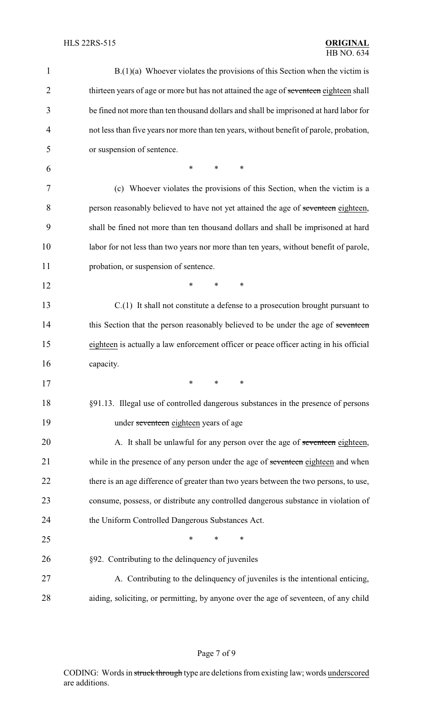| 1              | $B(1)(a)$ Whoever violates the provisions of this Section when the victim is            |
|----------------|-----------------------------------------------------------------------------------------|
| 2              | thirteen years of age or more but has not attained the age of seventeen eighteen shall  |
| 3              | be fined not more than ten thousand dollars and shall be imprisoned at hard labor for   |
| $\overline{4}$ | not less than five years nor more than ten years, without benefit of parole, probation, |
| 5              | or suspension of sentence.                                                              |
| 6              | $\ast$<br>$\ast$<br>*                                                                   |
| 7              | (c) Whoever violates the provisions of this Section, when the victim is a               |
| 8              | person reasonably believed to have not yet attained the age of seventeen eighteen,      |
| 9              | shall be fined not more than ten thousand dollars and shall be imprisoned at hard       |
| 10             | labor for not less than two years nor more than ten years, without benefit of parole,   |
| 11             | probation, or suspension of sentence.                                                   |
| 12             | *<br>*<br>∗                                                                             |
| 13             | $C(1)$ It shall not constitute a defense to a prosecution brought pursuant to           |
| 14             | this Section that the person reasonably believed to be under the age of seventeen       |
| 15             | eighteen is actually a law enforcement officer or peace officer acting in his official  |
| 16             | capacity.                                                                               |
| 17             | $*$ and $*$<br>∗<br>∗                                                                   |
| 18             | §91.13. Illegal use of controlled dangerous substances in the presence of persons       |
| 19             | under seventeen eighteen years of age                                                   |
| 20             | A. It shall be unlawful for any person over the age of seventeen eighteen,              |
| 21             | while in the presence of any person under the age of seventeen eighteen and when        |
| 22             | there is an age difference of greater than two years between the two persons, to use,   |
| 23             | consume, possess, or distribute any controlled dangerous substance in violation of      |
| 24             | the Uniform Controlled Dangerous Substances Act.                                        |
| 25             | *<br>*<br>∗                                                                             |
| 26             | §92. Contributing to the delinquency of juveniles                                       |
| 27             | A. Contributing to the delinquency of juveniles is the intentional enticing,            |
| 28             | aiding, soliciting, or permitting, by anyone over the age of seventeen, of any child    |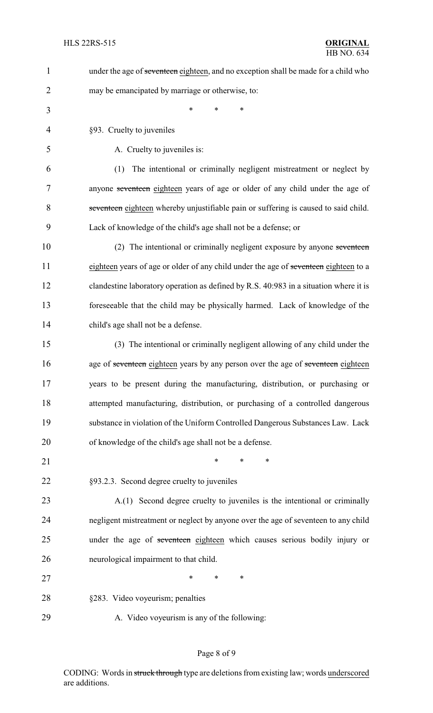| $\mathbf{1}$   | under the age of seventeen eighteen, and no exception shall be made for a child who   |
|----------------|---------------------------------------------------------------------------------------|
| $\overline{2}$ | may be emancipated by marriage or otherwise, to:                                      |
| 3              | $\ast$<br>$\ast$<br>*                                                                 |
| $\overline{4}$ | §93. Cruelty to juveniles                                                             |
| 5              | A. Cruelty to juveniles is:                                                           |
| 6              | The intentional or criminally negligent mistreatment or neglect by<br>(1)             |
| 7              | anyone seventeen eighteen years of age or older of any child under the age of         |
| 8              | seventeen eighteen whereby unjustifiable pain or suffering is caused to said child.   |
| 9              | Lack of knowledge of the child's age shall not be a defense; or                       |
| 10             | (2) The intentional or criminally negligent exposure by anyone seventeen              |
| 11             | eighteen years of age or older of any child under the age of seventeen eighteen to a  |
| 12             | clandestine laboratory operation as defined by R.S. 40:983 in a situation where it is |
| 13             | foreseeable that the child may be physically harmed. Lack of knowledge of the         |
| 14             | child's age shall not be a defense.                                                   |
| 15             | (3) The intentional or criminally negligent allowing of any child under the           |
| 16             | age of seventeen eighteen years by any person over the age of seventeen eighteen      |
| 17             | years to be present during the manufacturing, distribution, or purchasing or          |
| 18             | attempted manufacturing, distribution, or purchasing of a controlled dangerous        |
| 19             | substance in violation of the Uniform Controlled Dangerous Substances Law. Lack       |
| 20             | of knowledge of the child's age shall not be a defense.                               |
| 21             | $\ast$<br>*<br>$\ast$                                                                 |
| 22             | §93.2.3. Second degree cruelty to juveniles                                           |
| 23             | A.(1) Second degree cruelty to juveniles is the intentional or criminally             |
| 24             | negligent mistreatment or neglect by anyone over the age of seventeen to any child    |
| 25             | under the age of seventeen eighteen which causes serious bodily injury or             |
| 26             | neurological impairment to that child.                                                |
| 27             | *<br>∗<br>∗                                                                           |
| 28             | §283. Video voyeurism; penalties                                                      |
| 29             | A. Video voyeurism is any of the following:                                           |
|                |                                                                                       |

# Page 8 of 9